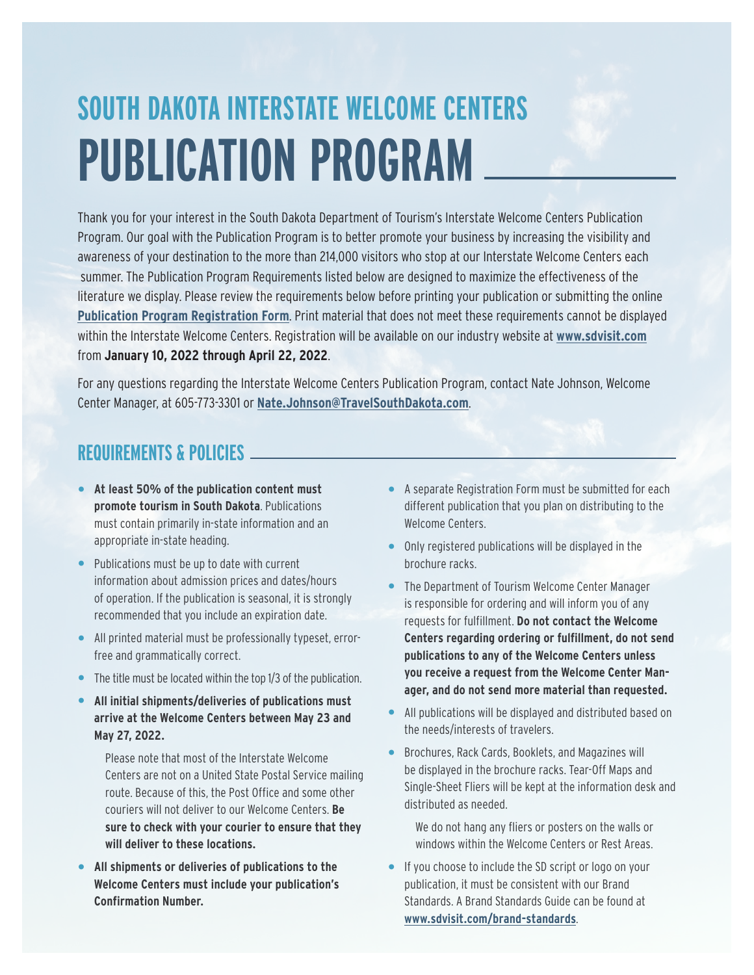# **SOUTH DAKOTA INTERSTATE WELCOME CENTERS PUBLICATION PROGRAM**

Thank you for your interest in the South Dakota Department of Tourism's Interstate Welcome Centers Publication Program. Our goal with the Publication Program is to better promote your business by increasing the visibility and awareness of your destination to the more than 214,000 visitors who stop at our Interstate Welcome Centers each summer. The Publication Program Requirements listed below are designed to maximize the effectiveness of the literature we display. Please review the requirements below before printing your publication or submitting the online **Publication Program Registration Form**. Print material that does not meet these requirements cannot be displayed within the Interstate Welcome Centers. Registration will be available on our industry website at **www.sdvisit.com** from **January 10, 2022 through April 22, 2022**.

For any questions regarding the Interstate Welcome Centers Publication Program, contact Nate Johnson, Welcome Center Manager, at 605-773-3301 or **Nate.Johnson@TravelSouthDakota.com**.

#### **REQUIREMENTS & POLICIES**

- **• At least 50% of the publication content must promote tourism in South Dakota**. Publications must contain primarily in-state information and an appropriate in-state heading.
- **•** Publications must be up to date with current information about admission prices and dates/hours of operation. If the publication is seasonal, it is strongly recommended that you include an expiration date.
- **•** All printed material must be professionally typeset, errorfree and grammatically correct.
- **•** The title must be located within the top 1/3 of the publication.
- **• All initial shipments/deliveries of publications must arrive at the Welcome Centers between May 23 and May 27, 2022.**

Please note that most of the Interstate Welcome Centers are not on a United State Postal Service mailing route. Because of this, the Post Office and some other couriers will not deliver to our Welcome Centers. **Be sure to check with your courier to ensure that they will deliver to these locations.** 

**• All shipments or deliveries of publications to the Welcome Centers must include your publication's Confirmation Number.**

- **•** A separate Registration Form must be submitted for each different publication that you plan on distributing to the Welcome Centers.
- **•** Only registered publications will be displayed in the brochure racks.
- **•** The Department of Tourism Welcome Center Manager is responsible for ordering and will inform you of any requests for fulfillment. **Do not contact the Welcome Centers regarding ordering or fulfillment, do not send publications to any of the Welcome Centers unless you receive a request from the Welcome Center Manager, and do not send more material than requested.**
- **•** All publications will be displayed and distributed based on the needs/interests of travelers.
- **•** Brochures, Rack Cards, Booklets, and Magazines will be displayed in the brochure racks. Tear-Off Maps and Single-Sheet Fliers will be kept at the information desk and distributed as needed.

We do not hang any fliers or posters on the walls or windows within the Welcome Centers or Rest Areas.

**•** If you choose to include the SD script or logo on your publication, it must be consistent with our Brand Standards. A Brand Standards Guide can be found at **www.sdvisit.com/brand-standards**.